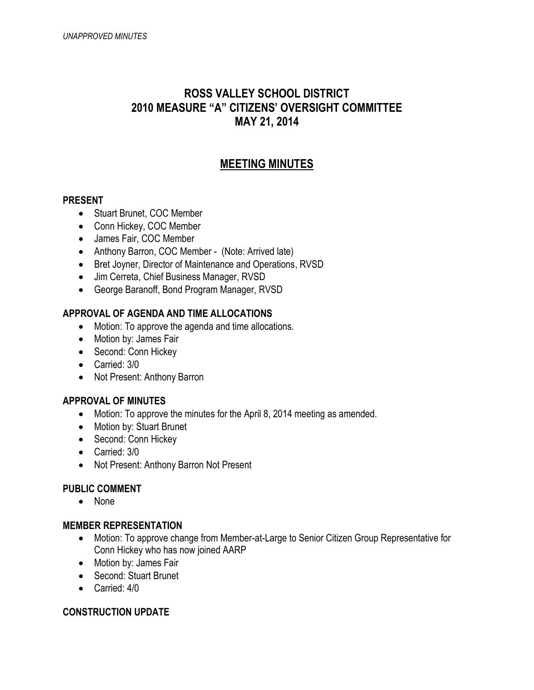# **ROSS VALLEY SCHOOL DISTRICT 2010 MEASURE "A" CITIZENS' OVERSIGHT COMMITTEE MAY 21, 2014**

## **MEETING MINUTES**

#### **PRESENT**

- Stuart Brunet, COC Member
- Conn Hickey, COC Member
- James Fair, COC Member
- Anthony Barron, COC Member (Note: Arrived late)
- Bret Joyner, Director of Maintenance and Operations, RVSD
- Jim Cerreta, Chief Business Manager, RVSD
- George Baranoff, Bond Program Manager, RVSD

### **APPROVAL OF AGENDA AND TIME ALLOCATIONS**

- Motion: To approve the agenda and time allocations.
- Motion by: James Fair
- Second: Conn Hickey
- Carried: 3/0
- Not Present: Anthony Barron

### **APPROVAL OF MINUTES**

- Motion: To approve the minutes for the April 8, 2014 meeting as amended.
- Motion by: Stuart Brunet
- Second: Conn Hickey
- Carried: 3/0
- Not Present: Anthony Barron Not Present

### **PUBLIC COMMENT**

• None

#### **MEMBER REPRESENTATION**

- Motion: To approve change from Member-at-Large to Senior Citizen Group Representative for Conn Hickey who has now joined AARP
- Motion by: James Fair
- Second: Stuart Brunet
- Carried: 4/0

### **CONSTRUCTION UPDATE**